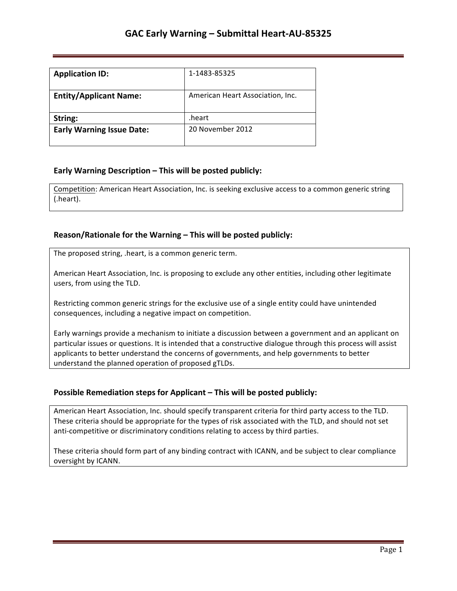| <b>Application ID:</b>           | 1-1483-85325                     |
|----------------------------------|----------------------------------|
| <b>Entity/Applicant Name:</b>    | American Heart Association, Inc. |
| String:                          | .heart                           |
| <b>Early Warning Issue Date:</b> | 20 November 2012                 |

### **Early Warning Description – This will be posted publicly:**

Competition: American Heart Association, Inc. is seeking exclusive access to a common generic string (.heart).

### **Reason/Rationale for the Warning – This will be posted publicly:**

The proposed string, .heart, is a common generic term.

American Heart Association, Inc. is proposing to exclude any other entities, including other legitimate users, from using the TLD.

Restricting common generic strings for the exclusive use of a single entity could have unintended consequences, including a negative impact on competition.

Early warnings provide a mechanism to initiate a discussion between a government and an applicant on particular issues or questions. It is intended that a constructive dialogue through this process will assist applicants to better understand the concerns of governments, and help governments to better understand the planned operation of proposed gTLDs.

### **Possible Remediation steps for Applicant - This will be posted publicly:**

American Heart Association, Inc. should specify transparent criteria for third party access to the TLD. These criteria should be appropriate for the types of risk associated with the TLD, and should not set anti-competitive or discriminatory conditions relating to access by third parties.

These criteria should form part of any binding contract with ICANN, and be subject to clear compliance oversight by ICANN.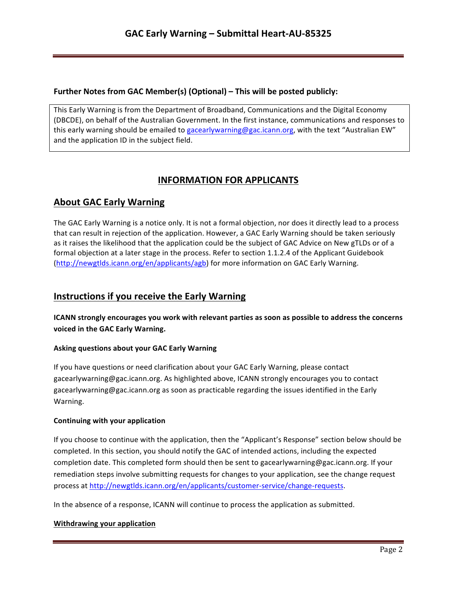### **Further Notes from GAC Member(s) (Optional) – This will be posted publicly:**

This Early Warning is from the Department of Broadband, Communications and the Digital Economy (DBCDE), on behalf of the Australian Government. In the first instance, communications and responses to this early warning should be emailed to gacearlywarning@gac.icann.org, with the text "Australian EW" and the application ID in the subject field.

# **INFORMATION FOR APPLICANTS**

# **About GAC Early Warning**

The GAC Early Warning is a notice only. It is not a formal objection, nor does it directly lead to a process that can result in rejection of the application. However, a GAC Early Warning should be taken seriously as it raises the likelihood that the application could be the subject of GAC Advice on New gTLDs or of a formal objection at a later stage in the process. Refer to section 1.1.2.4 of the Applicant Guidebook (http://newgtlds.icann.org/en/applicants/agb) for more information on GAC Early Warning.

# **Instructions if you receive the Early Warning**

**ICANN** strongly encourages you work with relevant parties as soon as possible to address the concerns voiced in the GAC Early Warning.

#### **Asking questions about your GAC Early Warning**

If you have questions or need clarification about your GAC Early Warning, please contact gacearlywarning@gac.icann.org. As highlighted above, ICANN strongly encourages you to contact gacearlywarning@gac.icann.org as soon as practicable regarding the issues identified in the Early Warning. 

#### **Continuing with your application**

If you choose to continue with the application, then the "Applicant's Response" section below should be completed. In this section, you should notify the GAC of intended actions, including the expected completion date. This completed form should then be sent to gacearlywarning@gac.icann.org. If your remediation steps involve submitting requests for changes to your application, see the change request process at http://newgtlds.icann.org/en/applicants/customer-service/change-requests.

In the absence of a response, ICANN will continue to process the application as submitted.

#### **Withdrawing your application**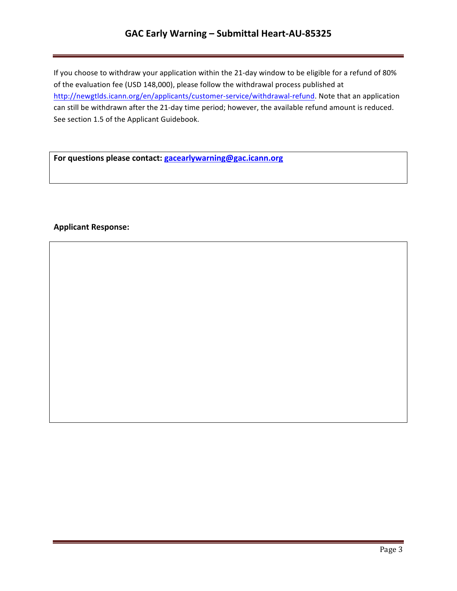# GAC Early Warning - Submittal Heart-AU-85325

If you choose to withdraw your application within the 21-day window to be eligible for a refund of 80% of the evaluation fee (USD 148,000), please follow the withdrawal process published at http://newgtlds.icann.org/en/applicants/customer-service/withdrawal-refund. Note that an application can still be withdrawn after the 21-day time period; however, the available refund amount is reduced. See section 1.5 of the Applicant Guidebook.

For questions please contact: **gacearlywarning@gac.icann.org** 

#### **Applicant Response:**